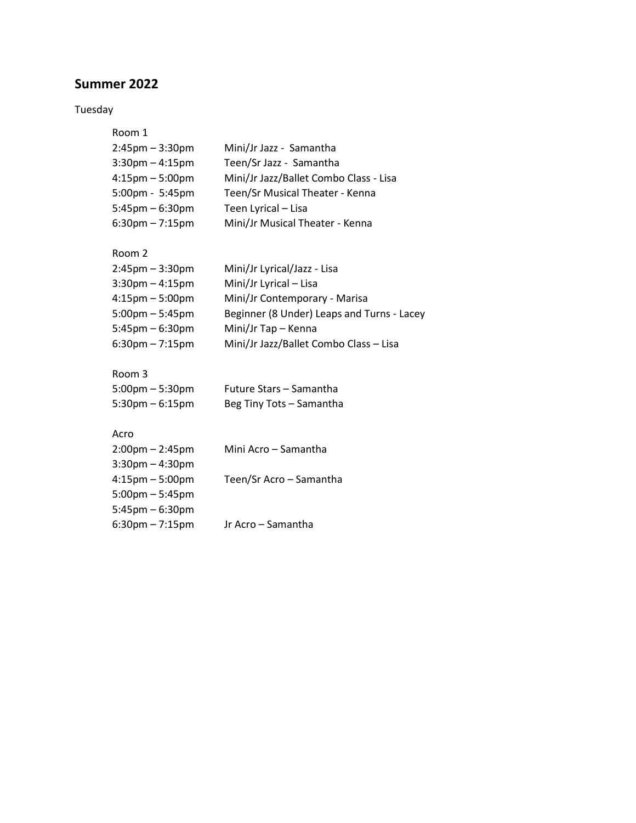# **Summer 2022**

5:45pm – 6:30pm

6:30pm – 7:15pm Jr Acro – Samantha

### Tuesday

| Room 1                            |                                            |
|-----------------------------------|--------------------------------------------|
| $2:45$ pm $-3:30$ pm              | Mini/Jr Jazz - Samantha                    |
| $3:30$ pm $-4:15$ pm              | Teen/Sr Jazz - Samantha                    |
| $4:15$ pm $-5:00$ pm              | Mini/Jr Jazz/Ballet Combo Class - Lisa     |
| 5:00pm - 5:45pm                   | Teen/Sr Musical Theater - Kenna            |
| $5:45$ pm $-6:30$ pm              | Teen Lyrical - Lisa                        |
| $6:30$ pm $-7:15$ pm              | Mini/Jr Musical Theater - Kenna            |
| Room 2                            |                                            |
| $2:45$ pm $-3:30$ pm              | Mini/Jr Lyrical/Jazz - Lisa                |
| $3:30$ pm $-4:15$ pm              | Mini/Jr Lyrical - Lisa                     |
| $4:15$ pm $-5:00$ pm              | Mini/Jr Contemporary - Marisa              |
| $5:00 \text{pm} - 5:45 \text{pm}$ | Beginner (8 Under) Leaps and Turns - Lacey |
| $5:45$ pm $-6:30$ pm              | Mini/Jr Tap - Kenna                        |
| $6:30$ pm $-7:15$ pm              | Mini/Jr Jazz/Ballet Combo Class - Lisa     |
| Room 3                            |                                            |
| $5:00$ pm $-5:30$ pm              | Future Stars - Samantha                    |
| $5:30$ pm $-6:15$ pm              | Beg Tiny Tots - Samantha                   |
| Acro                              |                                            |
| $2:00$ pm $- 2:45$ pm             | Mini Acro - Samantha                       |
| $3:30$ pm $-4:30$ pm              |                                            |
| $4:15$ pm $-5:00$ pm              | Teen/Sr Acro - Samantha                    |
| $5:00$ pm $-5:45$ pm              |                                            |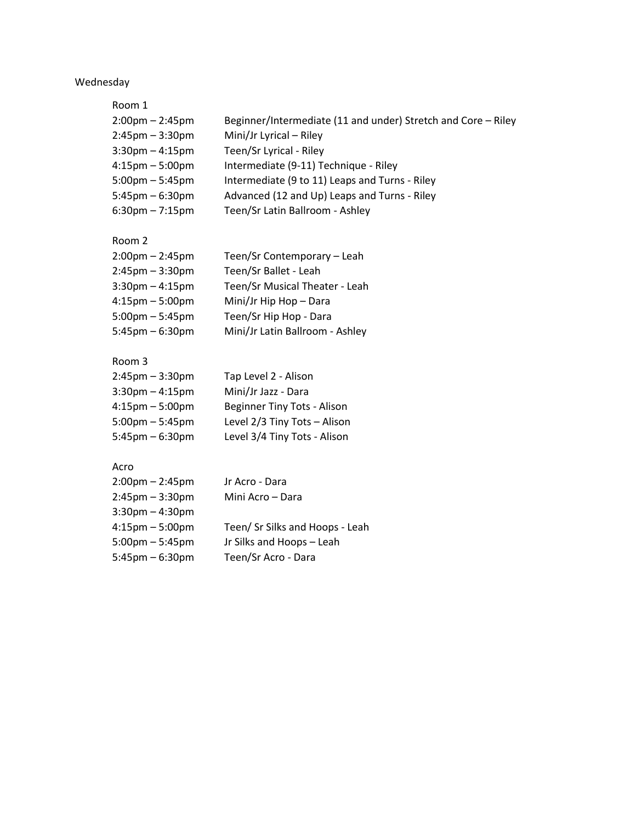## Wednesday

Room 1

| $2:00 \text{pm} - 2:45 \text{pm}$ | Beginner/Intermediate (11 and under) Stretch and Core - Riley |
|-----------------------------------|---------------------------------------------------------------|
| $2:45$ pm – $3:30$ pm             | Mini/Jr Lyrical - Riley                                       |
| $3:30$ pm $-4:15$ pm              | Teen/Sr Lyrical - Riley                                       |
| $4:15 \text{pm} - 5:00 \text{pm}$ | Intermediate (9-11) Technique - Riley                         |
| $5:00$ pm – 5:45pm                | Intermediate (9 to 11) Leaps and Turns - Riley                |
| $5:45$ pm – 6:30pm                | Advanced (12 and Up) Leaps and Turns - Riley                  |
| $6:30$ pm – 7:15pm                | Teen/Sr Latin Ballroom - Ashley                               |
|                                   |                                                               |

### Room 2

| $2:00$ pm – 2:45pm                | Teen/Sr Contemporary - Leah     |
|-----------------------------------|---------------------------------|
| $2:45$ pm – $3:30$ pm             | Teen/Sr Ballet - Leah           |
| $3:30$ pm $-4:15$ pm              | Teen/Sr Musical Theater - Leah  |
| $4:15 \text{pm} - 5:00 \text{pm}$ | Mini/Jr Hip Hop - Dara          |
| $5:00$ pm – 5:45pm                | Teen/Sr Hip Hop - Dara          |
| $5:45$ pm – 6:30pm                | Mini/Jr Latin Ballroom - Ashley |
|                                   |                                 |

### Room 3

| $2:45$ pm $-3:30$ pm              | Tap Level 2 - Alison         |
|-----------------------------------|------------------------------|
| $3:30$ pm $-4:15$ pm              | Mini/Jr Jazz - Dara          |
| $4:15 \text{pm} - 5:00 \text{pm}$ | Beginner Tiny Tots - Alison  |
| $5:00$ pm $-5:45$ pm              | Level 2/3 Tiny Tots - Alison |
| $5:45$ pm $-6:30$ pm              | Level 3/4 Tiny Tots - Alison |

#### Acro

| $2:00$ pm – 2:45pm    | Jr Acro - Dara                  |
|-----------------------|---------------------------------|
| $2:45$ pm – $3:30$ pm | Mini Acro - Dara                |
| $3:30$ pm $-4:30$ pm  |                                 |
| $4:15$ pm $-5:00$ pm  | Teen/ Sr Silks and Hoops - Leah |
| $5:00$ pm $-5:45$ pm  | Jr Silks and Hoops - Leah       |
| $5:45$ pm – 6:30pm    | Teen/Sr Acro - Dara             |